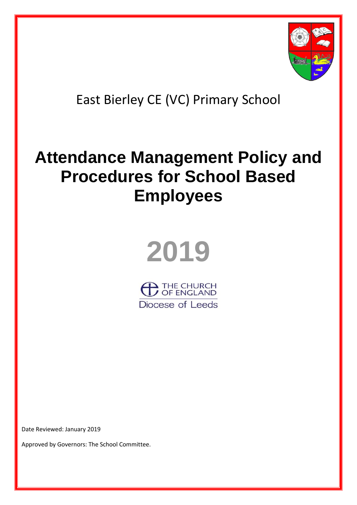

## East Bierley CE (VC) Primary School

# **Attendance Management Policy and Procedures for School Based Employees**



 $\blacktriangle$  THE CHURCH<br>/ OF ENGLAND Diocese of Leeds

Date Reviewed: January 2019

Approved by Governors: The School Committee.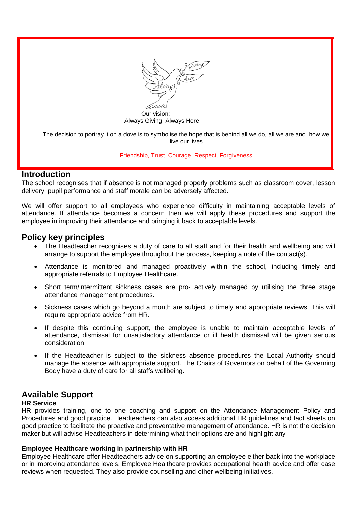

 Our vision: Always Giving; Always Here

The decision to portray it on a dove is to symbolise the hope that is behind all we do, all we are and how we live our lives

## Friendship, Trust, Courage, Respect, Forgiveness

## **Introduction**

The school recognises that if absence is not managed properly problems such as classroom cover, lesson delivery, pupil performance and staff morale can be adversely affected.

We will offer support to all employees who experience difficulty in maintaining acceptable levels of attendance. If attendance becomes a concern then we will apply these procedures and support the employee in improving their attendance and bringing it back to acceptable levels.

## **Policy key principles**

- The Headteacher recognises a duty of care to all staff and for their health and wellbeing and will arrange to support the employee throughout the process, keeping a note of the contact(s).
- Attendance is monitored and managed proactively within the school, including timely and appropriate referrals to Employee Healthcare.
- Short term/intermittent sickness cases are pro- actively managed by utilising the three stage attendance management procedures.
- Sickness cases which go beyond a month are subject to timely and appropriate reviews. This will require appropriate advice from HR.
- If despite this continuing support, the employee is unable to maintain acceptable levels of attendance, dismissal for unsatisfactory attendance or ill health dismissal will be given serious consideration
- If the Headteacher is subject to the sickness absence procedures the Local Authority should manage the absence with appropriate support. The Chairs of Governors on behalf of the Governing Body have a duty of care for all staffs wellbeing.

## **Available Support**

## **HR Service**

HR provides training, one to one coaching and support on the Attendance Management Policy and Procedures and good practice. Headteachers can also access additional HR guidelines and fact sheets on good practice to facilitate the proactive and preventative management of attendance. HR is not the decision maker but will advise Headteachers in determining what their options are and highlight any

## **Employee Healthcare working in partnership with HR**

Employee Healthcare offer Headteachers advice on supporting an employee either back into the workplace or in improving attendance levels. Employee Healthcare provides occupational health advice and offer case reviews when requested. They also provide counselling and other wellbeing initiatives.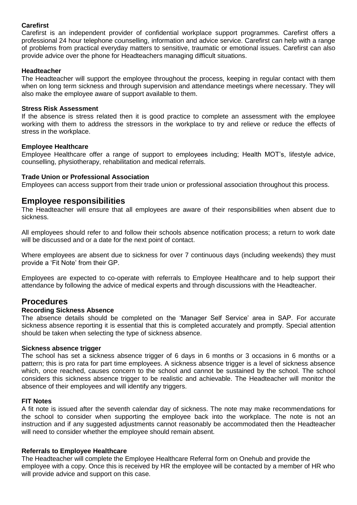## **Carefirst**

Carefirst is an independent provider of confidential workplace support programmes. Carefirst offers a professional 24 hour telephone counselling, information and advice service. Carefirst can help with a range of problems from practical everyday matters to sensitive, traumatic or emotional issues. Carefirst can also provide advice over the phone for Headteachers managing difficult situations.

## **Headteacher**

The Headteacher will support the employee throughout the process, keeping in regular contact with them when on long term sickness and through supervision and attendance meetings where necessary. They will also make the employee aware of support available to them.

## **Stress Risk Assessment**

If the absence is stress related then it is good practice to complete an assessment with the employee working with them to address the stressors in the workplace to try and relieve or reduce the effects of stress in the workplace.

## **Employee Healthcare**

Employee Healthcare offer a range of support to employees including; Health MOT's, lifestyle advice, counselling, physiotherapy, rehabilitation and medical referrals.

## **Trade Union or Professional Association**

Employees can access support from their trade union or professional association throughout this process.

## **Employee responsibilities**

The Headteacher will ensure that all employees are aware of their responsibilities when absent due to sickness.

All employees should refer to and follow their schools absence notification process; a return to work date will be discussed and or a date for the next point of contact.

Where employees are absent due to sickness for over 7 continuous days (including weekends) they must provide a 'Fit Note' from their GP.

Employees are expected to co-operate with referrals to Employee Healthcare and to help support their attendance by following the advice of medical experts and through discussions with the Headteacher.

## **Procedures**

## **Recording Sickness Absence**

The absence details should be completed on the 'Manager Self Service' area in SAP. For accurate sickness absence reporting it is essential that this is completed accurately and promptly. Special attention should be taken when selecting the type of sickness absence.

## **Sickness absence trigger**

The school has set a sickness absence trigger of 6 days in 6 months or 3 occasions in 6 months or a pattern; this is pro rata for part time employees. A sickness absence trigger is a level of sickness absence which, once reached, causes concern to the school and cannot be sustained by the school. The school considers this sickness absence trigger to be realistic and achievable. The Headteacher will monitor the absence of their employees and will identify any triggers.

## **FIT Notes**

A fit note is issued after the seventh calendar day of sickness. The note may make recommendations for the school to consider when supporting the employee back into the workplace. The note is not an instruction and if any suggested adjustments cannot reasonably be accommodated then the Headteacher will need to consider whether the employee should remain absent.

## **Referrals to Employee Healthcare**

The Headteacher will complete the Employee Healthcare Referral form on Onehub and provide the employee with a copy. Once this is received by HR the employee will be contacted by a member of HR who will provide advice and support on this case.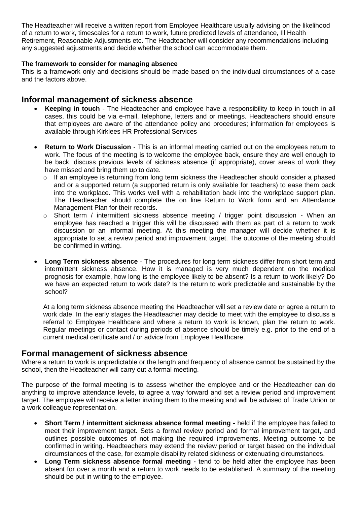The Headteacher will receive a written report from Employee Healthcare usually advising on the likelihood of a return to work, timescales for a return to work, future predicted levels of attendance, Ill Health Retirement, Reasonable Adjustments etc. The Headteacher will consider any recommendations including any suggested adjustments and decide whether the school can accommodate them.

## **The framework to consider for managing absence**

This is a framework only and decisions should be made based on the individual circumstances of a case and the factors above.

## **Informal management of sickness absence**

- **Keeping in touch**  The Headteacher and employee have a responsibility to keep in touch in all cases, this could be via e-mail, telephone, letters and or meetings. Headteachers should ensure that employees are aware of the attendance policy and procedures; information for employees is available through Kirklees HR Professional Services
- **Return to Work Discussion**  This is an informal meeting carried out on the employees return to work. The focus of the meeting is to welcome the employee back, ensure they are well enough to be back, discuss previous levels of sickness absence (if appropriate), cover areas of work they have missed and bring them up to date.
	- o If an employee is returning from long term sickness the Headteacher should consider a phased and or a supported return (a supported return is only available for teachers) to ease them back into the workplace. This works well with a rehabilitation back into the workplace support plan. The Headteacher should complete the on line Return to Work form and an Attendance Management Plan for their records.
	- o Short term / intermittent sickness absence meeting / trigger point discussion When an employee has reached a trigger this will be discussed with them as part of a return to work discussion or an informal meeting. At this meeting the manager will decide whether it is appropriate to set a review period and improvement target. The outcome of the meeting should be confirmed in writing.
- **Long Term sickness absence**  The procedures for long term sickness differ from short term and intermittent sickness absence. How it is managed is very much dependent on the medical prognosis for example, how long is the employee likely to be absent? Is a return to work likely? Do we have an expected return to work date? Is the return to work predictable and sustainable by the school?

At a long term sickness absence meeting the Headteacher will set a review date or agree a return to work date. In the early stages the Headteacher may decide to meet with the employee to discuss a referral to Employee Healthcare and where a return to work is known, plan the return to work. Regular meetings or contact during periods of absence should be timely e.g. prior to the end of a current medical certificate and / or advice from Employee Healthcare.

## **Formal management of sickness absence**

Where a return to work is unpredictable or the length and frequency of absence cannot be sustained by the school, then the Headteacher will carry out a formal meeting.

The purpose of the formal meeting is to assess whether the employee and or the Headteacher can do anything to improve attendance levels, to agree a way forward and set a review period and improvement target. The employee will receive a letter inviting them to the meeting and will be advised of Trade Union or a work colleague representation.

- **Short Term / intermittent sickness absence formal meeting -** held if the employee has failed to meet their improvement target. Sets a formal review period and formal improvement target, and outlines possible outcomes of not making the required improvements. Meeting outcome to be confirmed in writing. Headteachers may extend the review period or target based on the individual circumstances of the case, for example disability related sickness or extenuating circumstances.
- **Long Term sickness absence formal meeting -** tend to be held after the employee has been absent for over a month and a return to work needs to be established. A summary of the meeting should be put in writing to the employee.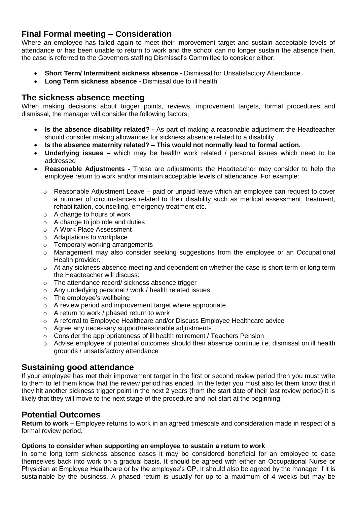## **Final Formal meeting – Consideration**

Where an employee has failed again to meet their improvement target and sustain acceptable levels of attendance or has been unable to return to work and the school can no longer sustain the absence then, the case is referred to the Governors staffing Dismissal's Committee to consider either:

- **Short Term/ Intermittent sickness absence**  Dismissal for Unsatisfactory Attendance.
- **Long Term sickness absence**  Dismissal due to ill health.

## **The sickness absence meeting**

When making decisions about trigger points, reviews, improvement targets, formal procedures and dismissal, the manager will consider the following factors;

- **Is the absence disability related? -** As part of making a reasonable adjustment the Headteacher should consider making allowances for sickness absence related to a disability.
- **Is the absence maternity related? – This would not normally lead to formal action.**
- **Underlying issues –** which may be health/ work related / personal issues which need to be addressed
- **Reasonable Adjustments -** These are adjustments the Headteacher may consider to help the employee return to work and/or maintain acceptable levels of attendance. For example:
	- $\circ$  Reasonable Adjustment Leave paid or unpaid leave which an employee can request to cover a number of circumstances related to their disability such as medical assessment, treatment, rehabilitation, counselling, emergency treatment etc.
	- o A change to hours of work
	- $\circ$  A change to job role and duties
	- o A Work Place Assessment
	- o Adaptations to workplace
	- o Temporary working arrangements
	- o Management may also consider seeking suggestions from the employee or an Occupational Health provider.
	- o At any sickness absence meeting and dependent on whether the case is short term or long term the Headteacher will discuss:
	- o The attendance record/ sickness absence trigger
	- o Any underlying personal / work / health related issues
	- $\circ$  The employee's wellbeing
	- o A review period and improvement target where appropriate
	- o A return to work / phased return to work
	- $\circ$  A referral to Employee Healthcare and/or Discuss Employee Healthcare advice
	- o Agree any necessary support/reasonable adjustments
	- o Consider the appropriateness of ill health retirement / Teachers Pension
	- o Advise employee of potential outcomes should their absence continue i.e. dismissal on ill health grounds / unsatisfactory attendance

## **Sustaining good attendance**

If your employee has met their improvement target in the first or second review period then you must write to them to let them know that the review period has ended. In the letter you must also let them know that if they hit another sickness trigger point in the next 2 years (from the start date of their last review period) it is likely that they will move to the next stage of the procedure and not start at the beginning.

## **Potential Outcomes**

**Return to work –** Employee returns to work in an agreed timescale and consideration made in respect of a formal review period.

## **Options to consider when supporting an employee to sustain a return to work**

In some long term sickness absence cases it may be considered beneficial for an employee to ease themselves back into work on a gradual basis. It should be agreed with either an Occupational Nurse or Physician at Employee Healthcare or by the employee's GP. It should also be agreed by the manager if it is sustainable by the business. A phased return is usually for up to a maximum of 4 weeks but may be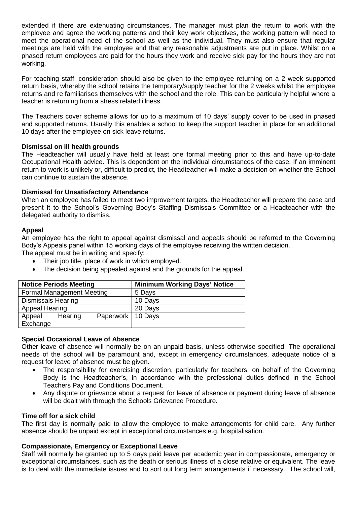extended if there are extenuating circumstances. The manager must plan the return to work with the employee and agree the working patterns and their key work objectives, the working pattern will need to meet the operational need of the school as well as the individual. They must also ensure that regular meetings are held with the employee and that any reasonable adjustments are put in place. Whilst on a phased return employees are paid for the hours they work and receive sick pay for the hours they are not working.

For teaching staff, consideration should also be given to the employee returning on a 2 week supported return basis, whereby the school retains the temporary/supply teacher for the 2 weeks whilst the employee returns and re familiarises themselves with the school and the role. This can be particularly helpful where a teacher is returning from a stress related illness.

The Teachers cover scheme allows for up to a maximum of 10 days' supply cover to be used in phased and supported returns. Usually this enables a school to keep the support teacher in place for an additional 10 days after the employee on sick leave returns.

## **Dismissal on ill health grounds**

The Headteacher will usually have held at least one formal meeting prior to this and have up-to-date Occupational Health advice. This is dependent on the individual circumstances of the case. If an imminent return to work is unlikely or, difficult to predict, the Headteacher will make a decision on whether the School can continue to sustain the absence.

## **Dismissal for Unsatisfactory Attendance**

When an employee has failed to meet two improvement targets, the Headteacher will prepare the case and present it to the School's Governing Body's Staffing Dismissals Committee or a Headteacher with the delegated authority to dismiss.

## **Appeal**

An employee has the right to appeal against dismissal and appeals should be referred to the Governing Body's Appeals panel within 15 working days of the employee receiving the written decision.

The appeal must be in writing and specify:

- Their job title, place of work in which employed.
- The decision being appealed against and the grounds for the appeal.

| <b>Notice Periods Meeting</b>            | <b>Minimum Working Days' Notice</b> |
|------------------------------------------|-------------------------------------|
| <b>Formal Management Meeting</b>         | 5 Days                              |
| <b>Dismissals Hearing</b>                | 10 Days                             |
| <b>Appeal Hearing</b>                    | 20 Days                             |
| Paperwork   10 Days<br>Hearing<br>Appeal |                                     |
| Exchange                                 |                                     |

## **Special Occasional Leave of Absence**

Other leave of absence will normally be on an unpaid basis, unless otherwise specified. The operational needs of the school will be paramount and, except in emergency circumstances, adequate notice of a request for leave of absence must be given.

- The responsibility for exercising discretion, particularly for teachers, on behalf of the Governing Body is the Headteacher's, in accordance with the professional duties defined in the School Teachers Pay and Conditions Document.
- Any dispute or grievance about a request for leave of absence or payment during leave of absence will be dealt with through the Schools Grievance Procedure.

#### **Time off for a sick child**

The first day is normally paid to allow the employee to make arrangements for child care. Any further absence should be unpaid except in exceptional circumstances e.g. hospitalisation.

## **Compassionate, Emergency or Exceptional Leave**

Staff will normally be granted up to 5 days paid leave per academic year in compassionate, emergency or exceptional circumstances, such as the death or serious illness of a close relative or equivalent. The leave is to deal with the immediate issues and to sort out long term arrangements if necessary. The school will,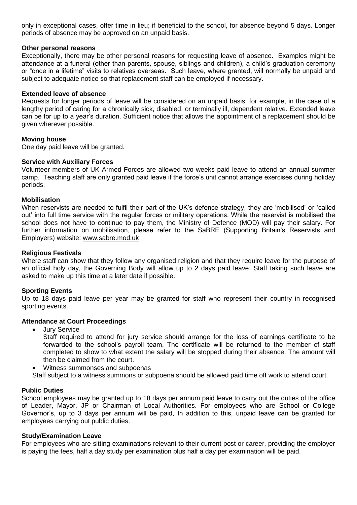only in exceptional cases, offer time in lieu; if beneficial to the school, for absence beyond 5 days. Longer periods of absence may be approved on an unpaid basis.

#### **Other personal reasons**

Exceptionally, there may be other personal reasons for requesting leave of absence. Examples might be attendance at a funeral (other than parents, spouse, siblings and children), a child's graduation ceremony or "once in a lifetime" visits to relatives overseas. Such leave, where granted, will normally be unpaid and subject to adequate notice so that replacement staff can be employed if necessary.

## **Extended leave of absence**

Requests for longer periods of leave will be considered on an unpaid basis, for example, in the case of a lengthy period of caring for a chronically sick, disabled, or terminally ill, dependent relative. Extended leave can be for up to a year's duration. Sufficient notice that allows the appointment of a replacement should be given wherever possible.

## **Moving house**

One day paid leave will be granted.

## **Service with Auxiliary Forces**

Volunteer members of UK Armed Forces are allowed two weeks paid leave to attend an annual summer camp. Teaching staff are only granted paid leave if the force's unit cannot arrange exercises during holiday periods.

## **Mobilisation**

When reservists are needed to fulfil their part of the UK's defence strategy, they are 'mobilised' or 'called out' into full time service with the regular forces or military operations. While the reservist is mobilised the school does not have to continue to pay them, the Ministry of Defence (MOD) will pay their salary. For further information on mobilisation, please refer to the SaBRE (Supporting Britain's Reservists and Employers) website: [www.sabre.mod.uk](http://www.sabre.mod.uk/)

#### **Religious Festivals**

Where staff can show that they follow any organised religion and that they require leave for the purpose of an official holy day, the Governing Body will allow up to 2 days paid leave. Staff taking such leave are asked to make up this time at a later date if possible.

## **Sporting Events**

Up to 18 days paid leave per year may be granted for staff who represent their country in recognised sporting events.

#### **Attendance at Court Proceedings**

Jury Service

Staff required to attend for jury service should arrange for the loss of earnings certificate to be forwarded to the school's payroll team. The certificate will be returned to the member of staff completed to show to what extent the salary will be stopped during their absence. The amount will then be claimed from the court.

- Witness summonses and subpoenas
- Staff subject to a witness summons or subpoena should be allowed paid time off work to attend court.

#### **Public Duties**

School employees may be granted up to 18 days per annum paid leave to carry out the duties of the office of Leader, Mayor, JP or Chairman of Local Authorities. For employees who are School or College Governor's, up to 3 days per annum will be paid, In addition to this, unpaid leave can be granted for employees carrying out public duties.

#### **Study/Examination Leave**

For employees who are sitting examinations relevant to their current post or career, providing the employer is paying the fees, half a day study per examination plus half a day per examination will be paid.